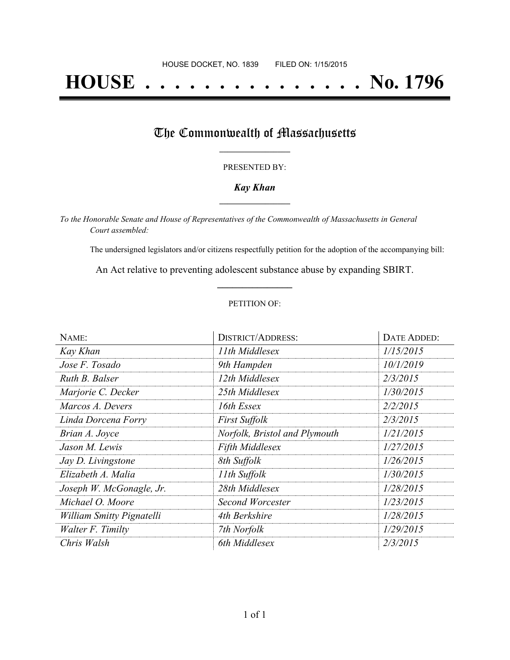# **HOUSE . . . . . . . . . . . . . . . No. 1796**

## The Commonwealth of Massachusetts

#### PRESENTED BY:

#### *Kay Khan* **\_\_\_\_\_\_\_\_\_\_\_\_\_\_\_\_\_**

*To the Honorable Senate and House of Representatives of the Commonwealth of Massachusetts in General Court assembled:*

The undersigned legislators and/or citizens respectfully petition for the adoption of the accompanying bill:

An Act relative to preventing adolescent substance abuse by expanding SBIRT. **\_\_\_\_\_\_\_\_\_\_\_\_\_\_\_**

#### PETITION OF:

| NAME:                            | <b>DISTRICT/ADDRESS:</b>      | DATE ADDED: |
|----------------------------------|-------------------------------|-------------|
| Kay Khan                         | 11th Middlesex                | 1/15/2015   |
| Jose F. Tosado                   | 9th Hampden                   | 10/1/2019   |
| Ruth B. Balser                   | 12th Middlesex                | 2/3/2015    |
| Marjorie C. Decker               | 25th Middlesex                | 1/30/2015   |
| Marcos A. Devers                 | 16th Essex                    | 2/2/2015    |
| Linda Dorcena Forry              | <b>First Suffolk</b>          | 2/3/2015    |
| Brian A. Joyce                   | Norfolk, Bristol and Plymouth | 1/21/2015   |
| Jason M. Lewis                   | <b>Fifth Middlesex</b>        | 1/27/2015   |
| Jay D. Livingstone               | 8th Suffolk                   | 1/26/2015   |
| Elizabeth A. Malia               | 11th Suffolk                  | 1/30/2015   |
| Joseph W. McGonagle, Jr.         | 28th Middlesex                | 1/28/2015   |
| Michael O. Moore                 | Second Worcester              | 1/23/2015   |
| <b>William Smitty Pignatelli</b> | 4th Berkshire                 | 1/28/2015   |
| Walter F. Timilty                | 7th Norfolk                   | 1/29/2015   |
| Chris Walsh                      | 6th Middlesex                 | 2/3/2015    |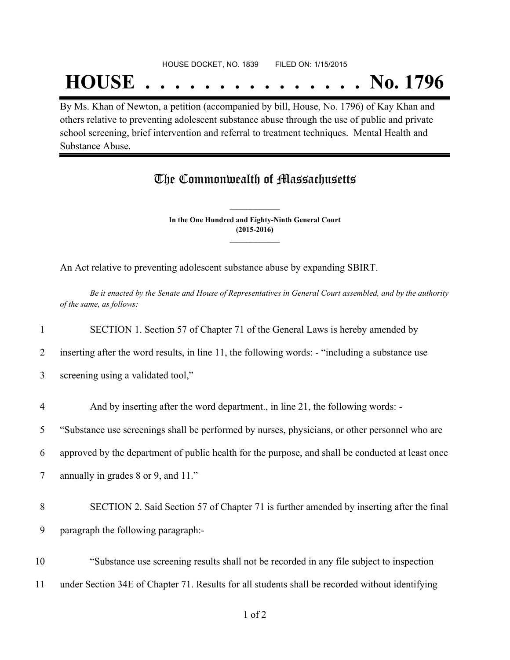## HOUSE DOCKET, NO. 1839 FILED ON: 1/15/2015

## **HOUSE . . . . . . . . . . . . . . . No. 1796**

By Ms. Khan of Newton, a petition (accompanied by bill, House, No. 1796) of Kay Khan and others relative to preventing adolescent substance abuse through the use of public and private school screening, brief intervention and referral to treatment techniques. Mental Health and Substance Abuse.

### The Commonwealth of Massachusetts

**In the One Hundred and Eighty-Ninth General Court (2015-2016) \_\_\_\_\_\_\_\_\_\_\_\_\_\_\_**

**\_\_\_\_\_\_\_\_\_\_\_\_\_\_\_**

An Act relative to preventing adolescent substance abuse by expanding SBIRT.

Be it enacted by the Senate and House of Representatives in General Court assembled, and by the authority *of the same, as follows:*

 SECTION 1. Section 57 of Chapter 71 of the General Laws is hereby amended by inserting after the word results, in line 11, the following words: - "including a substance use screening using a validated tool," And by inserting after the word department., in line 21, the following words: - "Substance use screenings shall be performed by nurses, physicians, or other personnel who are approved by the department of public health for the purpose, and shall be conducted at least once 7 annually in grades 8 or 9, and 11." SECTION 2. Said Section 57 of Chapter 71 is further amended by inserting after the final paragraph the following paragraph:- "Substance use screening results shall not be recorded in any file subject to inspection under Section 34E of Chapter 71. Results for all students shall be recorded without identifying